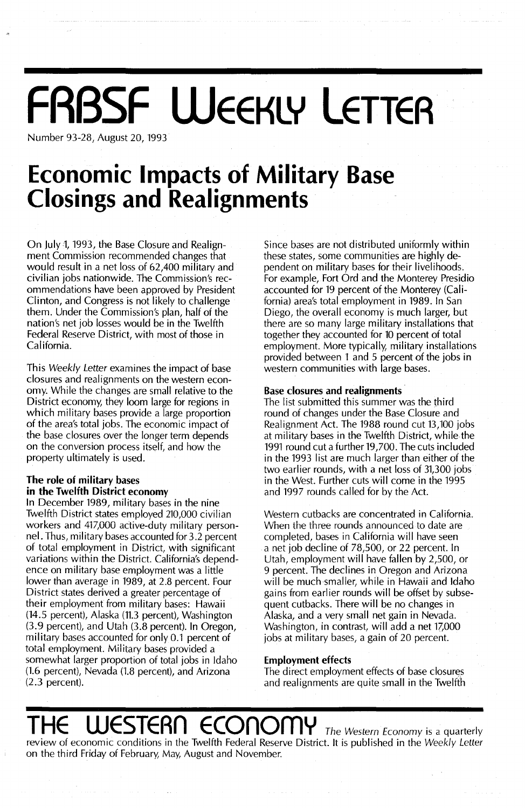# **FABSF WEEKLY LETTER**

Number 93-28, August 20, 1993

## **Economic Impacts of Military Base Closings and Realignments**

On July 1, 1993, the Base Closure and Realignment Commission recommended changes that would result in a net loss of 62,400 military and civilian jobs nationwide. The Commission's recommendations have been approved by President Clinton, and Congress is not likely to challenge them. Under the Commission's plan, half of the nation's net job losses would be in the Twelfth Federal Reserve District, with most of those in California.

This Weekly Letter examines the impact of base closures and realignments on the western economy. While the changes are small relative to the District economy, they loom large for regions in which military bases provide a large proportion of the area's total jobs. The economic impact of the base closures over the longer term depends on the conversion process itself, and how the property ultimately is used.

### **The role of military bases in the Twelfth District economy**

**In** December 1989, military bases in the nine Twelfth District states employed 210,000 civilian workers and 417,000 active-duty military personnel. Thus, military bases accounted for 3.2 percent of total employment in District, with significant variations within the District. California's dependence on military base employment was a little lower than average in 1989, at 2.8 percent. Four District states derived a greater percentage of their employment from military bases: Hawaii (14.5 percent), Alaska (11.3 percent), Washington (3.9 percent), and Utah (3.8 percent). **In** Oregon, military bases accounted for only 0.1 percent of total employment. Military bases provided a somewhat larger proportion of total jobs in Idaho (1.6 percent), Nevada (1.8 percent), and Arizona (2.3 percent).

Since bases are not distributed uniformly within these states, some communities are highly dependent on military bases for their livelihoods. For example, Fort Ord and the Monterey Presidio accounted for 19 percent of the Monterey (California) area's total employment in 1989. In San Diego, the overall economy is much larger, but there are so many large military installations that together they accounted for 10 percent of total employment. More typically, military installations provided between 1 and 5 percent of the jobs in western communities with large bases.

#### **Base closures and realignments·**

The list submitted this summer was the third round of changes under the Base Closure and Realignment Act. The 1988 round cut 13,100 jobs at military bases in the Twelfth District, while the 1991 round cut a further 19,700. The cuts included in the 1993 list are much larger than either of the two earlier rounds, with a net loss of 31,300 jobs in the West. Further cuts will come in the 1995 and 1997 rounds called for by the Act.

Western cutbacks are concentrated in California. When the three rounds announced to date are completed, bases in California will have seen a net job decline of 78,500, or 22 percent. In Utah, employment will have fallen by 2,500, or 9 percent. The declines in Oregon and Arizona will be much smaller, while in Hawaii and Idaho gains from earlier rounds will be offset by subsequent cutbacks. There will be no changes in Alaska, and a very small net gain in Nevada. Washington, in contrast, will add a net 17,000 jobs at military bases, a gain of 20 percent.

### **Employment effects**

The direct employment effects of base closures and realignments are quite small in the Twelfth

## **THESTERN ECONOMY** The Western Economy is a quarterly

review of economic conditions in the Twelfth Federal Reserve District. It is published in the Weekly Letter on the third Friday of February, May, August and November.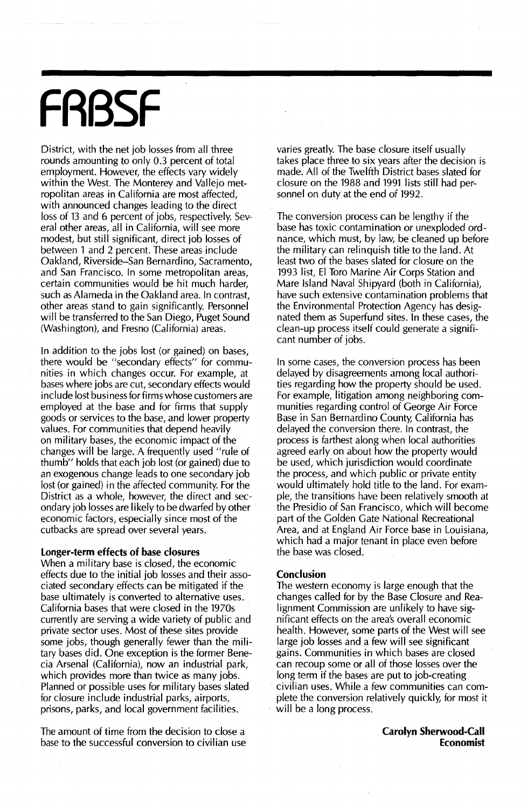# **FRBSF**

District, with the net job losses from all three rounds amounting to only 0.3 percent of total employment. However, the effects vary widely within the West. The Monterey and Vallejo metropolitan areas in California are most affected, with announced changes leading to the direct loss of 13 and 6 percent of jobs, respectively. Several other areas, all in California, will see more modest, but still significant, direct job losses of between 1 and 2 percent. These areas include Oakland, Riverside-San Bernardino, Sacramento, and San Francisco. In some metropolitan areas, certain communities would be hit much harder, such as Alameda in the Oakland area. In contrast, other areas stand to gain significantly. Personnel will be transferred to the San Diego, Puget Sound (Washington), and Fresno (California) areas.

In addition to the jobs lost (or gained) on bases, there would be "secondary effects" for communities in which changes occur. For example, at bases where jobs are cut, secondary effects would include lost business for firms whose customers are employed at the base and for firms that supply goods or services to the base, and lower property values. For communities that depend heavily on military bases, the economic impact of the changes will be large. A frequently used "rule of thumb" holds that each job lost (or gained) due to an exogenous change leads to one secondary job lost (or gained) in the affected community. For the District as a whole, however, the direct and secondary job losses are likely to be dwarfed by other economic factors, especially since most of the cutbacks are spread over several years.

#### **Longer-term effects of base closures**

When a military base is closed, the economic effects due to the initial job losses and their associated secondary effects can be mitigated if the base ultimately is converted to alternative uses. California bases that were closed in the 1970s currently are serving a wide variety of public and private sector uses. Most of these sites provide some jobs, though generally fewer than the military bases did. One exception is the former Benecia Arsenal (California), now an industrial park, which provides more than twice as many jobs. Planned or possible uses for military bases slated for closure include industrial parks, airports, prisons, parks, and local government facilities.

The amount of time from the decision to close a base to the successful conversion to civilian use varies greatly. The base closure itself usually takes place three to six years after the decision is made. All of the Twelfth District bases slated for closure on the 1988 and 1991 lists still had per~ sonnel on duty at the end of 1992.

The conversion process can be lengthy if the base has toxic contamination or unexploded ordnance, which must, by law, be cleaned up before the military can relinquish title to the land. At least two of the bases slated for closure on the 1993 list, EI Toro Marine Air Corps Station and Mare Island Naval Shipyard (both in California), have such extensive contamination problems that the Environmental Protection Agency has designated them as Superfund sites. In these cases, the clean-up process itself could generate a significant number of jobs.

In some cases, the conversion process has been delayed by disagreements among local authorities regarding how the property should be used. For example, litigation among neighboring communities regarding control of George Air Force Base in San Bernardino County, California has delayed the conversion there. In contrast, the process is farthest along when local authorities agreed early on about how the property would be used, which jurisdiction would coordinate the process, and which public or private entity would ultimately hold title to the land. For example, the transitions have been relatively smooth at the Presidio of San Francisco, which will become part of the Golden Gate National Recreational Area, and at England Air Force base in Louisiana, which had a major tenant in place even before the base was closed.

#### **Conclusion**

The western economy is large enough that the changes called for by the Base Closure and Realignment Commission are unlikely to have significant effects on the area's overall economic health. However, some parts of the West will see large job losses and a few will see significant gains. Communities in which bases are closed can recoup some or all of those losses over the long term if the bases are put to job-creating civilian uses. While a few communities can complete the conversion relatively quickly, for most it will be a long process.

> **Carolyn Sherwood-Call Economist**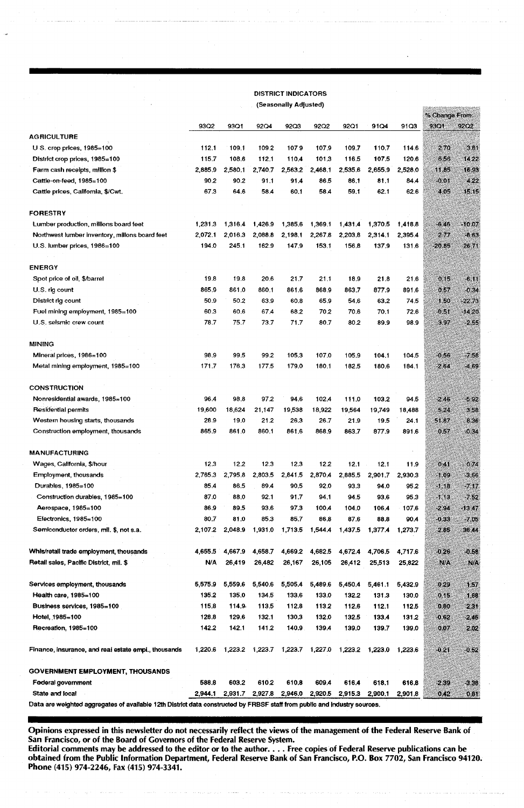| <b>DISTRICT INDICATORS</b>                           |                       |         |                 |         |                |                |                |                |                |          |
|------------------------------------------------------|-----------------------|---------|-----------------|---------|----------------|----------------|----------------|----------------|----------------|----------|
|                                                      | (Seasonally Adjusted) |         |                 |         |                |                |                |                |                |          |
|                                                      |                       |         |                 |         |                |                |                |                | % Change From: |          |
|                                                      | 93Q2                  | 93Q1    | 92Q4            | 92Q3    | 92Q2           | 92Q1           | 91Q4           | 91Q3           | 93Q1           | 92Q2     |
| <b>AGRICULTURE</b>                                   |                       |         |                 |         |                |                |                |                |                |          |
| $U S.$ crop prices, $1985 = 100$                     | 112.1                 | 109.1   | 109.2           | 1079    | 107.9          | 109.7          | 110.7          | 114.6          | 270            | 3.81     |
| District crop prices, 1985=100                       | 115.7                 | 108.6   | 112.1           | 110.4   | 101.3          | 116.5          | 107.5          | 120.6          | 6.56           | 14.22    |
| Farm cash receipts, million \$                       | 2,885.9               | 2,580.1 | 2,740.7         | 2,563.2 | 2,468.1        | 2,535.6        | 2,655.9        | 2,528.0        | 11.85          | 16.93    |
| Cattle-on-feed, 1985=100                             | 90.2                  | 90.2    | 91.1            | 91.4    | 86.5           | 86.1           | 81.1           | 84.4           | $-0.01$        | 422      |
| Cattle prices, California, \$/Cwt.                   | 67.3                  | 64.6    | 58.4            | 60.1    | 58.4           | 59.1           | 62.1           | 62.6           | 4.05           | 15.15    |
| <b>FORESTRY</b>                                      |                       |         |                 |         |                |                |                |                |                |          |
| Lumber production, millions board feet               | 1,231.3               | 1.316.4 | 1,426.9         | 1,385.6 | 1,369.1        | 1.431.4        | 1.370.5        | 1,418.8        | $-6.46$        | $-10.07$ |
| Northwest lumber inventory, millons board feet       | 2.072.1               | 2,016.3 | 2.088.8         | 2,198.1 | 2,267.8        | 2.203.8        | 2,314.1        | 2.395.4        | 277            | $-8.63$  |
| U.S. lumber prices, 1986=100                         | 194.0                 | 245.1   | 162.9           | 147.9   | 153.1          | 156.8          | 137.9          | 131.6          | $-20.85$       | 26.71    |
| <b>ENERGY</b>                                        |                       |         |                 |         |                |                |                |                |                |          |
| Spot price of oil, \$/barrel                         | 19.8                  | 19.8    | 20.6            | 21.7    | 21.1           | 18.9           | 21.8           | 21.6           | 0.15           | 6,11     |
| U.S. rig count                                       | 865.9                 | 861.0   | 860.1           | 861.6   | 868.9          | 863,7          | 877.9          | 891.6          | 0.57           | $-0.34$  |
| District rig count                                   | 50.9                  | 50.2    | 63.9            | 60.8    | 65.9           | 54.6           | 63.2           | 74.5           | 1.50           | 22.73    |
| Fuel mining employment, 1985=100                     | 60.3                  | 60.6    | 67.4            | 68.2    | 70.2           | 70.6           | 70.1           | 72.6           | 0.51           | 14.20    |
| U.S. selsmic crew count                              | 78.7                  | 75.7    | 73.7            | 71.7    | 80.7           | 80.2           | 89.9           | 98.9           | 3.97           | $-2.55$  |
|                                                      |                       |         |                 |         |                |                |                |                |                |          |
| <b>MINING</b>                                        |                       |         |                 |         |                |                |                |                |                |          |
| Mineral prices, 1986=100                             | 98.9                  | 99.5    | 99.2            | 105.3   | 107.0          | 105.9          | 104.1          | 104.5          | $-0.56$        | $-7.58$  |
| Metal mining employment, 1985=100                    | 171.7                 | 176.3   | 177.5           | 179.0   | 180.1          | 182.5          | 180.6          | 184.1          | 2.64           | -4.69    |
| <b>CONSTRUCTION</b>                                  |                       |         |                 |         |                |                |                |                |                |          |
| Nonresidential awards, 1985=100                      | 96.4                  | 98.8    | 97.2            | 94.6    | 102.4          | 111.0          | 103.2          |                | $-2.46$        | $-592$   |
| <b>Residential permits</b>                           | 19,600                | 18,624  |                 | 19,538  |                |                |                | 94.5           | 5.24           | 3.58     |
| Western housing starts, thousands                    | 28.9                  | 19.0    | 21,147<br>21.2  | 26,3    | 18,922<br>26.7 | 19,564<br>21.9 | 19,749<br>19.5 | 18,488<br>24.1 | 51.87          | 8.36     |
| Construction employment, thousands                   | 865.9                 | 861.0   | 860.1           | 861.6   | 868.9          | 863.7          | 877.9          | 891.6          | 0.57           | $-0.34$  |
|                                                      |                       |         |                 |         |                |                |                |                |                |          |
| <b>MANUFACTURING</b>                                 |                       |         |                 |         |                |                |                |                |                |          |
| Wages, California, \$/hour                           | 12.3                  | 12.2    | 12.3            | 12.3    | 12.2           | 12.1           | 12.1           | 11.9           | 041            | 0.74     |
| Employment, thousands                                | 2.765.3               | 2,795.8 | 2,803.5         | 2,841.5 | 2,870.4        | 2,885.5        | 2.901.7        | 2,930.3        | $-1.09$        | $-3,66$  |
| Durables, 1985=100                                   | 85.4                  | 86.5    | 89.4            | 90,5    | 92.0           | 93.3           | 94.0           | 95.2           | $-1.18$        | $-7.17$  |
| Construction durables, 1985=100                      | 87.0                  | 88.0    | 92.1            | 91.7    | 94.1           | 94.5           | 93.6           | 95.3           | $-1.13$        | $-7.52$  |
| Aerospace, 1985=100                                  | 86.9                  | 89.5    | 93.6            | 97.3    | 100.4          | 1040           | 106.4          | 107.6          | $-2.94$        | $-13.47$ |
| Electronics, 1985=100                                | 80.7                  | 81.0    | 85.3            | 85.7    | 86.8           | 87.6           | 88.8           | 90.4           | $-0.33$        | $-7.05$  |
| Semiconductor orders, mil. \$, not s.a.              | 2,107.2               | 2,048.9 | 1,931.0         | 1,713.5 | 1,544.4        | 1,437.5        | 1.377.4        | 1,273.7        | 2.85           | 36.44    |
| Whis/retail trade employment, thousands              | 4,655.5               | 4,667.9 | 4,658.7         | 4,669.2 | 4,682.5        | 4,672.4        | 4,706.5        | 4,717.6        | $-0.26$        | $-0.58$  |
| Retall sales, Pacific District, mil. \$              | N/A                   | 26,419  | 26,482          | 26,167  | 26,105         | 26,412         | 25,513         | 25,822         | <b>NA</b>      | N/A      |
| Services employment, thousands                       | 5,575.9               | 5,559.6 | 5,540.6         | 5,505.4 | 5,489.6        | 5,450.4        | 5,461.1        | 5,432.9        | 0.29           | 1.57     |
| Health care, 1985=100                                | 135.2                 | 135.0   | 134.5           | 133.6   | 133.0          | 132.2          | 131.3          | 130.0          | 0.15           | 1.68     |
| Business services, 1985=100                          | 115.8                 | 114.9.  | 113.5           | 112.8   | 113.2          | 112.6          | 112.1          | 112.5          | 0.80           | 231      |
| Hotel, 1985=100                                      | 128.8                 | 129.6   | 132.1           | 130.3   | 132.0          | 132.5          | 133,4          | 131.2          | $-0.62$        | 2.45     |
| Recreation, 1985=100                                 | 142.2                 | 142.1   | 141.2           | 140.9   | 139.4          | 139.0          | 139.7          | 139.0          | 0.07           | 2.02     |
|                                                      |                       |         |                 |         |                |                |                |                |                |          |
| Finance, insurance, and real estate empl., thousands | 1,220.6               |         | 1,223.2 1,223.7 | 1,223.7 | 1,227.0        | 1,223.2        | 1.223.0        | 1,223.6        | $-0.21$        | $-0.52$  |
| <b>GOVERNMENT EMPLOYMENT, THOUSANDS</b>              |                       |         |                 |         |                |                |                |                |                |          |
| Federal government                                   | 588.8                 | 603.2   | 610.2           | 610.8   | 609.4          | 616.4          | 618.1          | 616.8          | $-2.39$        | $-3.38$  |
| State and local                                      | 2,944.1               | 2,931.7 | 2,927.8         | 2,946.0 | 2,920.5        | 2,915.3        | 2,900.1        | 2,901.8        | 0.42           | 0.01     |

ita are weighted aggregates of available 12th District data constructed by FRBSF staff from public and industry sources.

Opinions expressed in this newsletter do not necessarily reflect the views of the management of the Federal Reserve Bank of San Francisco, or of the Board of Governors of the Federal Reserve System.

Editorial comments may be addressed to the editor or to the author. . . . Free copies of Federal Reserve publications can be obtained from the Public Information Department, Federal Reserve Bank of San Francisco, P.O. Box 7702, San Francisco 94120. Phone (415) 974-2246, Fax (415) 974-3341.